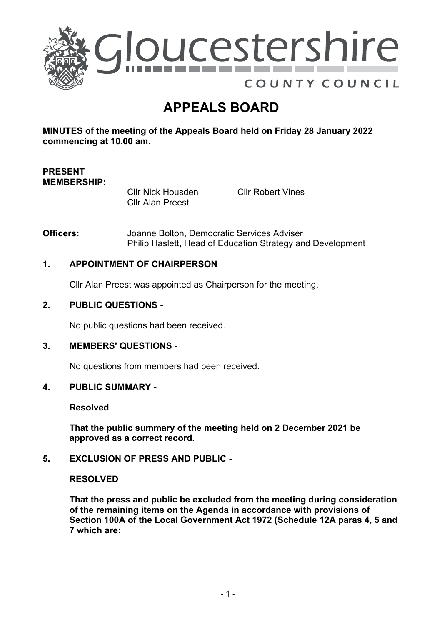

# **APPEALS BOARD**

**MINUTES of the meeting of the Appeals Board held on Friday 28 January 2022 commencing at 10.00 am.**

### **PRESENT MEMBERSHIP:**

Cllr Nick Housden Cllr Alan Preest

Cllr Robert Vines

**Officers:** Joanne Bolton, Democratic Services Adviser Philip Haslett, Head of Education Strategy and Development

### **1. APPOINTMENT OF CHAIRPERSON**

Cllr Alan Preest was appointed as Chairperson for the meeting.

#### **2. PUBLIC QUESTIONS -**

No public questions had been received.

### **3. MEMBERS' QUESTIONS -**

No questions from members had been received.

#### **4. PUBLIC SUMMARY -**

**Resolved**

**That the public summary of the meeting held on 2 December 2021 be approved as a correct record.**

#### **5. EXCLUSION OF PRESS AND PUBLIC -**

#### **RESOLVED**

**That the press and public be excluded from the meeting during consideration of the remaining items on the Agenda in accordance with provisions of Section 100A of the Local Government Act 1972 (Schedule 12A paras 4, 5 and 7 which are:**